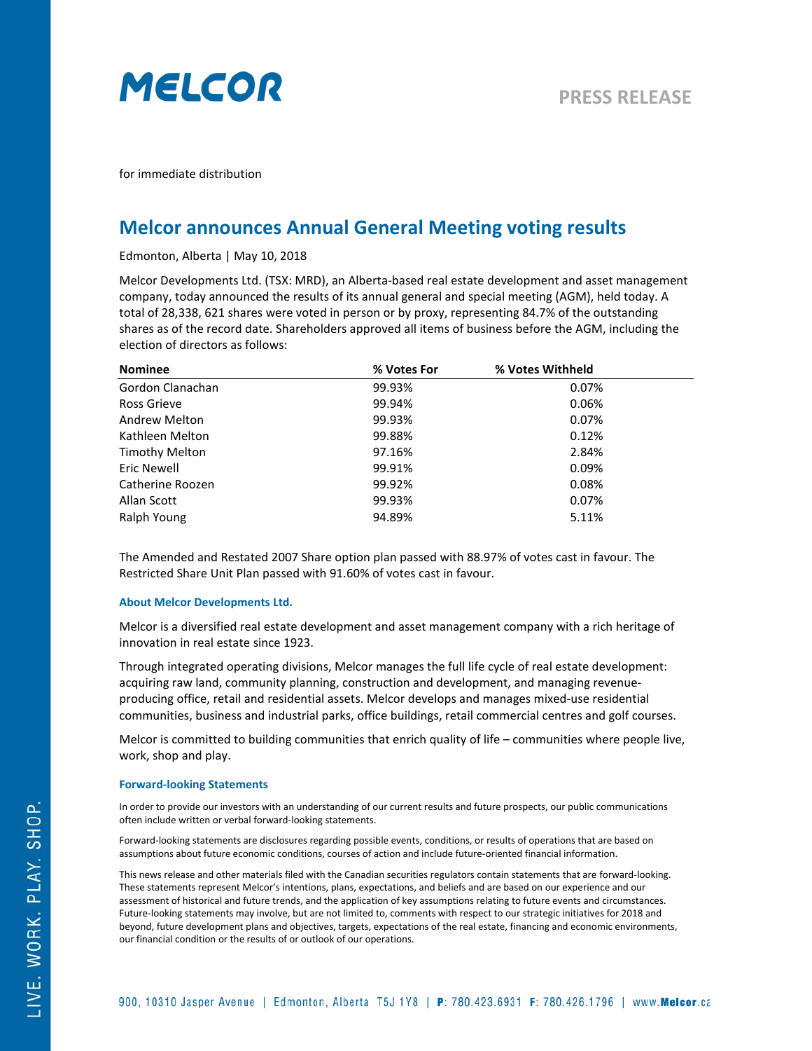

for immediate distribution

## **Melcor announces Annual General Meeting voting results**

Edmonton, Alberta | May 10, 2018

Melcor Developments Ltd. (TSX: MRD), an Alberta-based real estate development and asset management company, today announced the results of its annual general and special meeting (AGM), held today. A total of 28,338, 621 shares were voted in person or by proxy, representing 84.7% of the outstanding shares as of the record date. Shareholders approved all items of business before the AGM, including the election of directors as follows:

| <b>Nominee</b>        | % Votes For | % Votes Withheld |
|-----------------------|-------------|------------------|
| Gordon Clanachan      | 99.93%      | 0.07%            |
| Ross Grieve           | 99.94%      | 0.06%            |
| <b>Andrew Melton</b>  | 99.93%      | 0.07%            |
| Kathleen Melton       | 99.88%      | 0.12%            |
| <b>Timothy Melton</b> | 97.16%      | 2.84%            |
| Eric Newell           | 99.91%      | 0.09%            |
| Catherine Roozen      | 99.92%      | $0.08\%$         |
| Allan Scott           | 99.93%      | 0.07%            |
| Ralph Young           | 94.89%      | 5.11%            |

The Amended and Restated 2007 Share option plan passed with 88.97% of votes cast in favour. The Restricted Share Unit Plan passed with 91.60% of votes cast in favour.

## **About Melcor Developments Ltd.**

Melcor is a diversified real estate development and asset management company with a rich heritage of innovation in real estate since 1923.

Through integrated operating divisions, Melcor manages the full life cycle of real estate development: acquiring raw land, community planning, construction and development, and managing revenueproducing office, retail and residential assets. Melcor develops and manages mixed-use residential communities, business and industrial parks, office buildings, retail commercial centres and golf courses.

Melcor is committed to building communities that enrich quality of life – communities where people live, work, shop and play.

## **Forward-looking Statements**

In order to provide our investors with an understanding of our current results and future prospects, our public communications often include written or verbal forward-looking statements.

Forward-looking statements are disclosures regarding possible events, conditions, or results of operations that are based on assumptions about future economic conditions, courses of action and include future-oriented financial information.

This news release and other materials filed with the Canadian securities regulators contain statements that are forward-looking. These statements represent Melcor's intentions, plans, expectations, and beliefs and are based on our experience and our assessment of historical and future trends, and the application of key assumptions relating to future events and circumstances. Future-looking statements may involve, but are not limited to, comments with respect to our strategic initiatives for 2018 and beyond, future development plans and objectives, targets, expectations of the real estate, financing and economic environments, our financial condition or the results of or outlook of our operations.